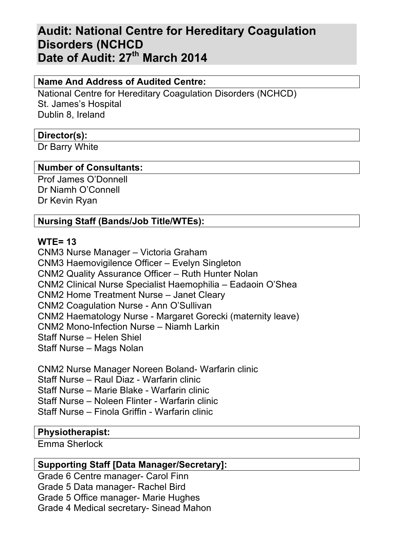# **Audit: National Centre for Hereditary Coagulation Disorders (NCHCD Date of Audit: 27th March 2014**

# **Name And Address of Audited Centre:**

National Centre for Hereditary Coagulation Disorders (NCHCD) St. James's Hospital Dublin 8, Ireland

## **Director(s):**

Dr Barry White

# **Number of Consultants:**

Prof James O'Donnell Dr Niamh O'Connell Dr Kevin Ryan

# **Nursing Staff (Bands/Job Title/WTEs):**

## **WTE= 13**

CNM3 Nurse Manager – Victoria Graham CNM3 Haemovigilence Officer – Evelyn Singleton CNM2 Quality Assurance Officer – Ruth Hunter Nolan CNM2 Clinical Nurse Specialist Haemophilia – Eadaoin O'Shea CNM2 Home Treatment Nurse – Janet Cleary CNM2 Coagulation Nurse - Ann O'Sullivan CNM2 Haematology Nurse - Margaret Gorecki (maternity leave) CNM2 Mono-Infection Nurse – Niamh Larkin Staff Nurse – Helen Shiel Staff Nurse – Mags Nolan

CNM2 Nurse Manager Noreen Boland- Warfarin clinic Staff Nurse – Raul Diaz - Warfarin clinic Staff Nurse – Marie Blake - Warfarin clinic Staff Nurse – Noleen Flinter - Warfarin clinic Staff Nurse – Finola Griffin - Warfarin clinic

## **Physiotherapist:**

Emma Sherlock

## **Supporting Staff [Data Manager/Secretary]:**

Grade 6 Centre manager- Carol Finn Grade 5 Data manager- Rachel Bird Grade 5 Office manager- Marie Hughes Grade 4 Medical secretary- Sinead Mahon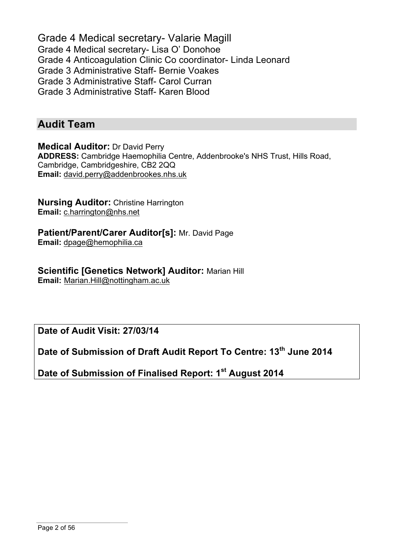Grade 4 Medical secretary- Valarie Magill Grade 4 Medical secretary- Lisa O' Donohoe Grade 4 Anticoagulation Clinic Co coordinator- Linda Leonard Grade 3 Administrative Staff- Bernie Voakes Grade 3 Administrative Staff- Carol Curran Grade 3 Administrative Staff- Karen Blood

# **Audit Team**

**Medical Auditor:** Dr David Perry **ADDRESS:** Cambridge Haemophilia Centre, Addenbrooke's NHS Trust, Hills Road, Cambridge, Cambridgeshire, CB2 2QQ **Email:** david.perry@addenbrookes.nhs.uk

**Nursing Auditor:** Christine Harrington **Email:** c.harrington@nhs.net

**Patient/Parent/Carer Auditor[s]:** Mr. David Page **Email:** dpage@hemophilia.ca

**Scientific [Genetics Network] Auditor:** Marian Hill **Email:** Marian.Hill@nottingham.ac.uk

**Date of Audit Visit: 27/03/14**

**Date of Submission of Draft Audit Report To Centre: 13th June 2014**

**Date of Submission of Finalised Report: 1st August 2014**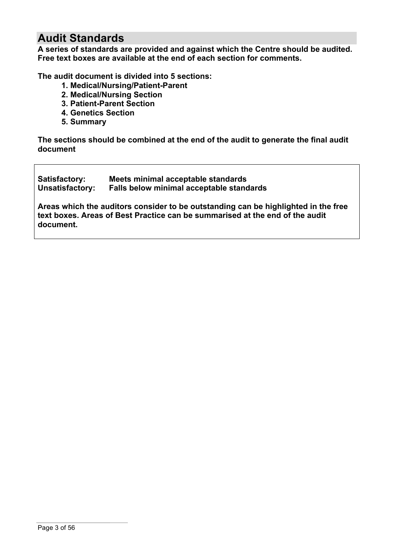# **Audit Standards**

**A series of standards are provided and against which the Centre should be audited. Free text boxes are available at the end of each section for comments.**

**The audit document is divided into 5 sections:**

- **1. Medical/Nursing/Patient-Parent**
- **2. Medical/Nursing Section**
- **3. Patient-Parent Section**
- **4. Genetics Section**
- **5. Summary**

**The sections should be combined at the end of the audit to generate the final audit document**

| Satisfactory:          | Meets minimal acceptable standards       |
|------------------------|------------------------------------------|
| <b>Unsatisfactory:</b> | Falls below minimal acceptable standards |

**Areas which the auditors consider to be outstanding can be highlighted in the free text boxes. Areas of Best Practice can be summarised at the end of the audit document.**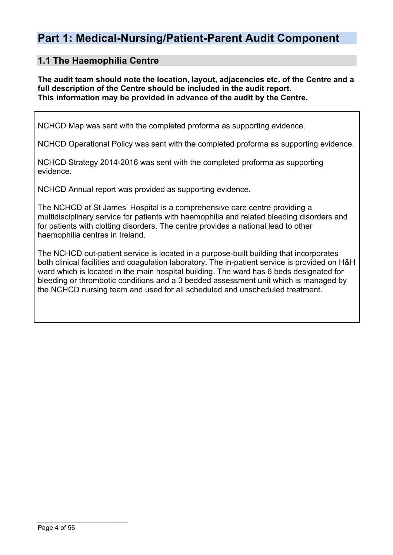# **Part 1: Medical-Nursing/Patient-Parent Audit Component**

## **1.1 The Haemophilia Centre**

**The audit team should note the location, layout, adjacencies etc. of the Centre and a full description of the Centre should be included in the audit report. This information may be provided in advance of the audit by the Centre.**

NCHCD Map was sent with the completed proforma as supporting evidence.

NCHCD Operational Policy was sent with the completed proforma as supporting evidence.

NCHCD Strategy 2014-2016 was sent with the completed proforma as supporting evidence.

NCHCD Annual report was provided as supporting evidence.

The NCHCD at St James' Hospital is a comprehensive care centre providing a multidisciplinary service for patients with haemophilia and related bleeding disorders and for patients with clotting disorders. The centre provides a national lead to other haemophilia centres in Ireland.

The NCHCD out-patient service is located in a purpose-built building that incorporates both clinical facilities and coagulation laboratory. The in-patient service is provided on H&H ward which is located in the main hospital building. The ward has 6 beds designated for bleeding or thrombotic conditions and a 3 bedded assessment unit which is managed by the NCHCD nursing team and used for all scheduled and unscheduled treatment.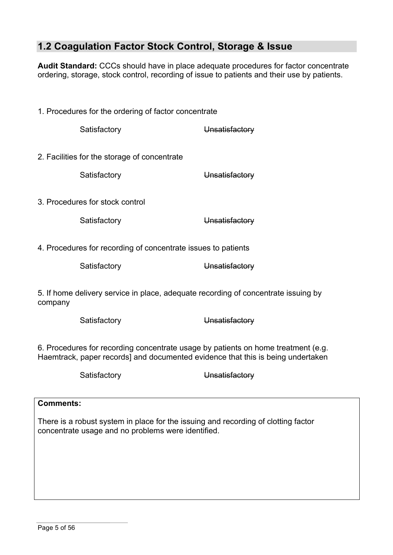# **1.2 Coagulation Factor Stock Control, Storage & Issue**

**Audit Standard:** CCCs should have in place adequate procedures for factor concentrate ordering, storage, stock control, recording of issue to patients and their use by patients.

1. Procedures for the ordering of factor concentrate Satisfactory **Unsatisfactory** 2. Facilities for the storage of concentrate Satisfactory **Unsatisfactory** 3. Procedures for stock control Satisfactory **Unsatisfactory** 4. Procedures for recording of concentrate issues to patients Satisfactory **Unsatisfactory** 

5. If home delivery service in place, adequate recording of concentrate issuing by company

Satisfactory **Unsatisfactory** 

6. Procedures for recording concentrate usage by patients on home treatment (e.g. Haemtrack, paper records] and documented evidence that this is being undertaken

Satisfactory **Unsatisfactory** 

## **Comments:**

There is a robust system in place for the issuing and recording of clotting factor concentrate usage and no problems were identified.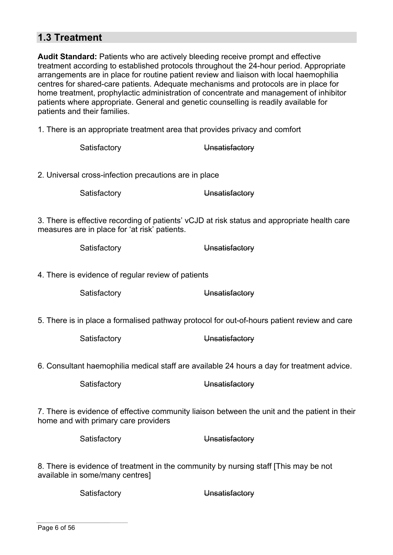# **1.3 Treatment**

**Audit Standard:** Patients who are actively bleeding receive prompt and effective treatment according to established protocols throughout the 24-hour period. Appropriate arrangements are in place for routine patient review and liaison with local haemophilia centres for shared-care patients. Adequate mechanisms and protocols are in place for home treatment, prophylactic administration of concentrate and management of inhibitor patients where appropriate. General and genetic counselling is readily available for patients and their families.

1. There is an appropriate treatment area that provides privacy and comfort

| Satisfactory                                          | Unsatisfactory                                                                                |
|-------------------------------------------------------|-----------------------------------------------------------------------------------------------|
| 2. Universal cross-infection precautions are in place |                                                                                               |
| Satisfactory                                          | Unsatisfactory                                                                                |
| measures are in place for 'at risk' patients.         | 3. There is effective recording of patients' vCJD at risk status and appropriate health care  |
| Satisfactory                                          | Unsatisfactory                                                                                |
| 4. There is evidence of regular review of patients    |                                                                                               |
| Satisfactory                                          | Unsatisfactory                                                                                |
|                                                       | 5. There is in place a formalised pathway protocol for out-of-hours patient review and care   |
| Satisfactory                                          | Unsatisfactory                                                                                |
|                                                       | 6. Consultant haemophilia medical staff are available 24 hours a day for treatment advice.    |
| Satisfactory                                          | Unsatisfactory                                                                                |
| home and with primary care providers                  | 7. There is evidence of effective community liaison between the unit and the patient in their |
| Satisfactory                                          | Unsatisfactory                                                                                |
|                                                       | 0. There is suidenes of treatment in the community by numing staff (This mou he not           |

8. There is evidence of treatment in the community by nursing staff [This may be not available in some/many centres]

Satisfactory **Unsatisfactory**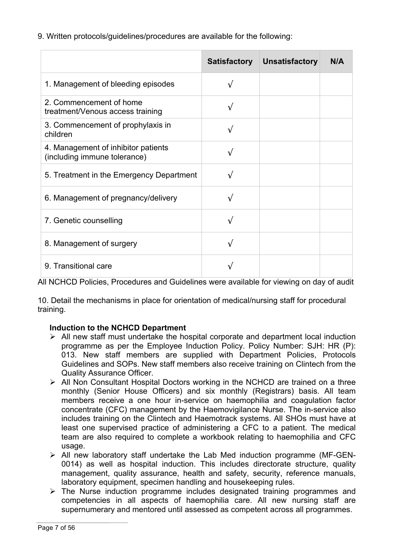9. Written protocols/guidelines/procedures are available for the following:

|                                                                     | <b>Satisfactory</b> | <b>Unsatisfactory</b> | N/A |
|---------------------------------------------------------------------|---------------------|-----------------------|-----|
| 1. Management of bleeding episodes                                  |                     |                       |     |
| 2. Commencement of home<br>treatment/Venous access training         |                     |                       |     |
| 3. Commencement of prophylaxis in<br>children                       | $\sqrt{}$           |                       |     |
| 4. Management of inhibitor patients<br>(including immune tolerance) |                     |                       |     |
| 5. Treatment in the Emergency Department                            |                     |                       |     |
| 6. Management of pregnancy/delivery                                 | $\sqrt{ }$          |                       |     |
| 7. Genetic counselling                                              | $\sqrt{}$           |                       |     |
| 8. Management of surgery                                            |                     |                       |     |
| 9. Transitional care                                                |                     |                       |     |

All NCHCD Policies, Procedures and Guidelines were available for viewing on day of audit

10. Detail the mechanisms in place for orientation of medical/nursing staff for procedural training.

## **Induction to the NCHCD Department**

- $\triangleright$  All new staff must undertake the hospital corporate and department local induction programme as per the Employee Induction Policy. Policy Number: SJH: HR (P): 013. New staff members are supplied with Department Policies, Protocols Guidelines and SOPs. New staff members also receive training on Clintech from the Quality Assurance Officer.
- $\triangleright$  All Non Consultant Hospital Doctors working in the NCHCD are trained on a three monthly (Senior House Officers) and six monthly (Registrars) basis. All team members receive a one hour in-service on haemophilia and coagulation factor concentrate (CFC) management by the Haemovigilance Nurse. The in-service also includes training on the Clintech and Haemotrack systems. All SHOs must have at least one supervised practice of administering a CFC to a patient. The medical team are also required to complete a workbook relating to haemophilia and CFC usage.
- Ø All new laboratory staff undertake the Lab Med induction programme (MF-GEN-0014) as well as hospital induction. This includes directorate structure, quality management, quality assurance, health and safety, security, reference manuals, laboratory equipment, specimen handling and housekeeping rules.
- $\triangleright$  The Nurse induction programme includes designated training programmes and competencies in all aspects of haemophilia care. All new nursing staff are supernumerary and mentored until assessed as competent across all programmes.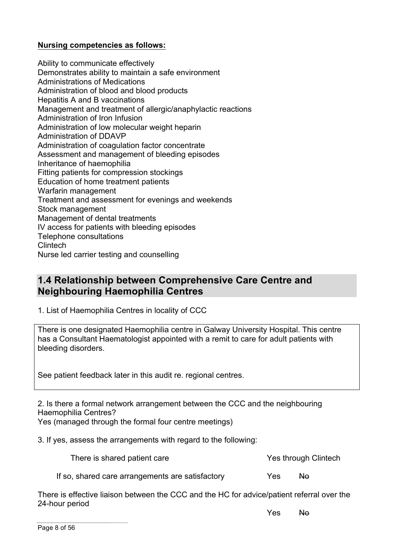### **Nursing competencies as follows:**

Ability to communicate effectively Demonstrates ability to maintain a safe environment Administrations of Medications Administration of blood and blood products Hepatitis A and B vaccinations Management and treatment of allergic/anaphylactic reactions Administration of Iron Infusion Administration of low molecular weight heparin Administration of DDAVP Administration of coagulation factor concentrate Assessment and management of bleeding episodes Inheritance of haemophilia Fitting patients for compression stockings Education of home treatment patients Warfarin management Treatment and assessment for evenings and weekends Stock management Management of dental treatments IV access for patients with bleeding episodes Telephone consultations Clintech Nurse led carrier testing and counselling

# **1.4 Relationship between Comprehensive Care Centre and Neighbouring Haemophilia Centres**

1. List of Haemophilia Centres in locality of CCC

There is one designated Haemophilia centre in Galway University Hospital. This centre has a Consultant Haematologist appointed with a remit to care for adult patients with bleeding disorders.

See patient feedback later in this audit re. regional centres.

2. Is there a formal network arrangement between the CCC and the neighbouring Haemophilia Centres?

Yes (managed through the formal four centre meetings)

3. If yes, assess the arrangements with regard to the following:

There is shared patient care The Yes through Clintech

If so, shared care arrangements are satisfactory Yes No

There is effective liaison between the CCC and the HC for advice/patient referral over the 24-hour period

Yes No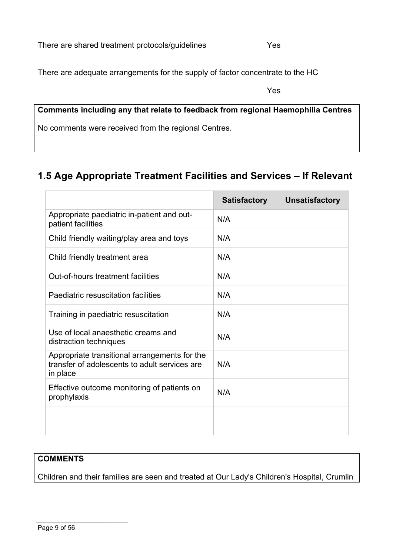There are adequate arrangements for the supply of factor concentrate to the HC

**Comments including any that relate to feedback from regional Haemophilia Centres** No comments were received from the regional Centres.

# **1.5 Age Appropriate Treatment Facilities and Services – If Relevant**

|                                                                                                            | <b>Satisfactory</b> | <b>Unsatisfactory</b> |
|------------------------------------------------------------------------------------------------------------|---------------------|-----------------------|
| Appropriate paediatric in-patient and out-<br>patient facilities                                           | N/A                 |                       |
| Child friendly waiting/play area and toys                                                                  | N/A                 |                       |
| Child friendly treatment area                                                                              | N/A                 |                       |
| Out-of-hours treatment facilities                                                                          | N/A                 |                       |
| Paediatric resuscitation facilities                                                                        | N/A                 |                       |
| Training in paediatric resuscitation                                                                       | N/A                 |                       |
| Use of local anaesthetic creams and<br>distraction techniques                                              | N/A                 |                       |
| Appropriate transitional arrangements for the<br>transfer of adolescents to adult services are<br>in place | N/A                 |                       |
| Effective outcome monitoring of patients on<br>prophylaxis                                                 | N/A                 |                       |
|                                                                                                            |                     |                       |

## **COMMENTS**

Children and their families are seen and treated at Our Lady's Children's Hospital, Crumlin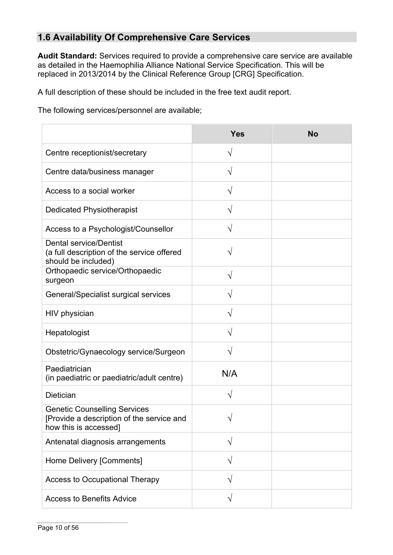# **1.6 Availability Of Comprehensive Care Services**

**Audit Standard:** Services required to provide a comprehensive care service are available as detailed in the Haemophilia Alliance National Service Specification. This will be replaced in 2013/2014 by the Clinical Reference Group [CRG] Specification.

A full description of these should be included in the free text audit report.

The following services/personnel are available;

|                                                                                                           | <b>Yes</b> | <b>No</b> |
|-----------------------------------------------------------------------------------------------------------|------------|-----------|
| Centre receptionist/secretary                                                                             | $\sqrt{}$  |           |
| Centre data/business manager                                                                              | V          |           |
| Access to a social worker                                                                                 | $\sqrt{}$  |           |
| <b>Dedicated Physiotherapist</b>                                                                          | $\sqrt{}$  |           |
| Access to a Psychologist/Counsellor                                                                       | V          |           |
| <b>Dental service/Dentist</b><br>(a full description of the service offered<br>should be included)        |            |           |
| Orthopaedic service/Orthopaedic<br>surgeon                                                                | V          |           |
| General/Specialist surgical services                                                                      | V          |           |
| HIV physician                                                                                             | $\sqrt{}$  |           |
| Hepatologist                                                                                              | $\sqrt{}$  |           |
| Obstetric/Gynaecology service/Surgeon                                                                     |            |           |
| Paediatrician<br>(in paediatric or paediatric/adult centre)                                               | N/A        |           |
| Dietician                                                                                                 | V          |           |
| <b>Genetic Counselling Services</b><br>[Provide a description of the service and<br>how this is accessed] | V          |           |
| Antenatal diagnosis arrangements                                                                          | V          |           |
| Home Delivery [Comments]                                                                                  |            |           |
| Access to Occupational Therapy                                                                            | V          |           |
| <b>Access to Benefits Advice</b>                                                                          |            |           |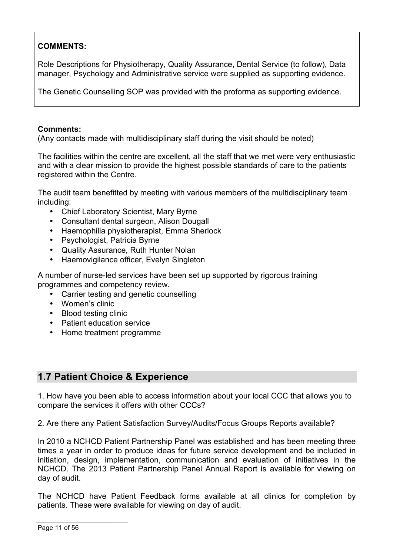# **COMMENTS:**

Role Descriptions for Physiotherapy, Quality Assurance, Dental Service (to follow), Data manager, Psychology and Administrative service were supplied as supporting evidence.

The Genetic Counselling SOP was provided with the proforma as supporting evidence.

### **Comments:**

(Any contacts made with multidisciplinary staff during the visit should be noted)

The facilities within the centre are excellent, all the staff that we met were very enthusiastic and with a clear mission to provide the highest possible standards of care to the patients registered within the Centre.

The audit team benefitted by meeting with various members of the multidisciplinary team including:

- Chief Laboratory Scientist, Mary Byrne
- Consultant dental surgeon, Alison Dougall
- Haemophilia physiotherapist, Emma Sherlock
- Psychologist, Patricia Byrne
- Quality Assurance, Ruth Hunter Nolan
- Haemovigilance officer, Evelyn Singleton

A number of nurse-led services have been set up supported by rigorous training programmes and competency review.

- Carrier testing and genetic counselling
- Women's clinic
- Blood testing clinic
- Patient education service
- Home treatment programme

# **1.7 Patient Choice & Experience**

1. How have you been able to access information about your local CCC that allows you to compare the services it offers with other CCCs?

2. Are there any Patient Satisfaction Survey/Audits/Focus Groups Reports available?

In 2010 a NCHCD Patient Partnership Panel was established and has been meeting three times a year in order to produce ideas for future service development and be included in initiation, design, implementation, communication and evaluation of initiatives in the NCHCD. The 2013 Patient Partnership Panel Annual Report is available for viewing on day of audit.

The NCHCD have Patient Feedback forms available at all clinics for completion by patients. These were available for viewing on day of audit.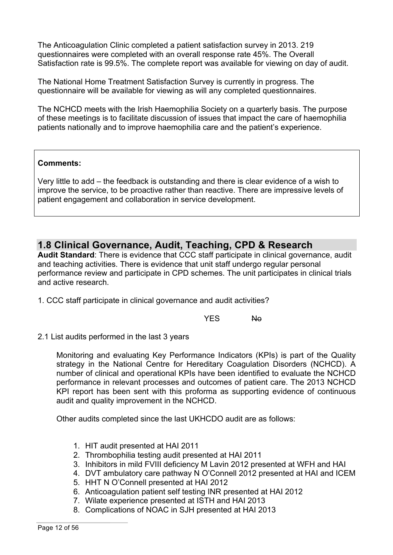The Anticoagulation Clinic completed a patient satisfaction survey in 2013. 219 questionnaires were completed with an overall response rate 45%. The Overall Satisfaction rate is 99.5%. The complete report was available for viewing on day of audit.

The National Home Treatment Satisfaction Survey is currently in progress. The questionnaire will be available for viewing as will any completed questionnaires.

The NCHCD meets with the Irish Haemophilia Society on a quarterly basis. The purpose of these meetings is to facilitate discussion of issues that impact the care of haemophilia patients nationally and to improve haemophilia care and the patient's experience.

### **Comments:**

Very little to add – the feedback is outstanding and there is clear evidence of a wish to improve the service, to be proactive rather than reactive. There are impressive levels of patient engagement and collaboration in service development.

# **1.8 Clinical Governance, Audit, Teaching, CPD & Research**

**Audit Standard**: There is evidence that CCC staff participate in clinical governance, audit and teaching activities. There is evidence that unit staff undergo regular personal performance review and participate in CPD schemes. The unit participates in clinical trials and active research.

1. CCC staff participate in clinical governance and audit activities?

YFS No

2.1 List audits performed in the last 3 years

Monitoring and evaluating Key Performance Indicators (KPIs) is part of the Quality strategy in the National Centre for Hereditary Coagulation Disorders (NCHCD). A number of clinical and operational KPIs have been identified to evaluate the NCHCD performance in relevant processes and outcomes of patient care. The 2013 NCHCD KPI report has been sent with this proforma as supporting evidence of continuous audit and quality improvement in the NCHCD.

Other audits completed since the last UKHCDO audit are as follows:

- 1. HIT audit presented at HAI 2011
- 2. Thrombophilia testing audit presented at HAI 2011
- 3. Inhibitors in mild FVIII deficiency M Lavin 2012 presented at WFH and HAI
- 4. DVT ambulatory care pathway N O'Connell 2012 presented at HAI and ICEM
- 5. HHT N O'Connell presented at HAI 2012
- 6. Anticoagulation patient self testing INR presented at HAI 2012
- 7. Wilate experience presented at ISTH and HAI 2013
- 8. Complications of NOAC in SJH presented at HAI 2013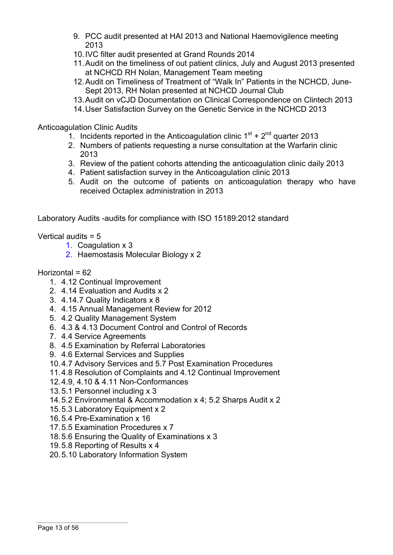- 9. PCC audit presented at HAI 2013 and National Haemovigilence meeting 2013
- 10.IVC filter audit presented at Grand Rounds 2014
- 11.Audit on the timeliness of out patient clinics, July and August 2013 presented at NCHCD RH Nolan, Management Team meeting
- 12.Audit on Timeliness of Treatment of "Walk In" Patients in the NCHCD, June-Sept 2013, RH Nolan presented at NCHCD Journal Club
- 13.Audit on vCJD Documentation on Clinical Correspondence on Clintech 2013
- 14.User Satisfaction Survey on the Genetic Service in the NCHCD 2013

Anticoagulation Clinic Audits

- 1. Incidents reported in the Anticoagulation clinic  $1<sup>st</sup> + 2<sup>nd</sup>$  quarter 2013
- 2. Numbers of patients requesting a nurse consultation at the Warfarin clinic 2013
- 3. Review of the patient cohorts attending the anticoagulation clinic daily 2013
- 4. Patient satisfaction survey in the Anticoagulation clinic 2013
- 5. Audit on the outcome of patients on anticoagulation therapy who have received Octaplex administration in 2013

Laboratory Audits -audits for compliance with ISO 15189:2012 standard

Vertical audits = 5

- 1. Coagulation x 3
- 2. Haemostasis Molecular Biology x 2

### $Horizontal = 62$

- 1. 4.12 Continual Improvement
- 2. 4.14 Evaluation and Audits x 2
- 3. 4.14.7 Quality Indicators x 8
- 4. 4.15 Annual Management Review for 2012
- 5. 4.2 Quality Management System
- 6. 4.3 & 4.13 Document Control and Control of Records
- 7. 4.4 Service Agreements
- 8. 4.5 Examination by Referral Laboratories
- 9. 4.6 External Services and Supplies
- 10.4.7 Advisory Services and 5.7 Post Examination Procedures
- 11.4.8 Resolution of Complaints and 4.12 Continual Improvement
- 12.4.9, 4.10 & 4.11 Non-Conformances
- 13.5.1 Personnel including x 3
- 14.5.2 Environmental & Accommodation x 4; 5.2 Sharps Audit x 2
- 15.5.3 Laboratory Equipment x 2
- 16.5.4 Pre-Examination x 16
- 17.5.5 Examination Procedures x 7
- 18.5.6 Ensuring the Quality of Examinations x 3
- 19.5.8 Reporting of Results x 4
- 20.5.10 Laboratory Information System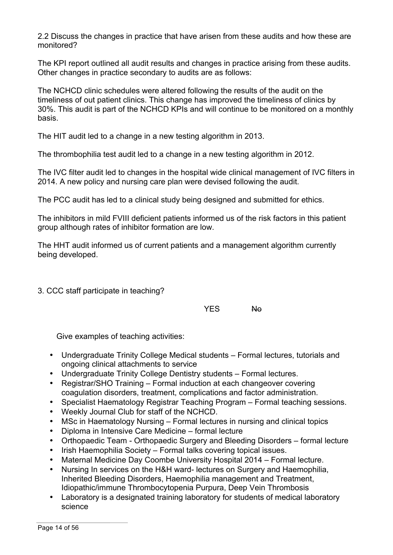2.2 Discuss the changes in practice that have arisen from these audits and how these are monitored?

The KPI report outlined all audit results and changes in practice arising from these audits. Other changes in practice secondary to audits are as follows:

The NCHCD clinic schedules were altered following the results of the audit on the timeliness of out patient clinics. This change has improved the timeliness of clinics by 30%. This audit is part of the NCHCD KPIs and will continue to be monitored on a monthly basis.

The HIT audit led to a change in a new testing algorithm in 2013.

The thrombophilia test audit led to a change in a new testing algorithm in 2012.

The IVC filter audit led to changes in the hospital wide clinical management of IVC filters in 2014. A new policy and nursing care plan were devised following the audit.

The PCC audit has led to a clinical study being designed and submitted for ethics.

The inhibitors in mild FVIII deficient patients informed us of the risk factors in this patient group although rates of inhibitor formation are low.

The HHT audit informed us of current patients and a management algorithm currently being developed.

3. CCC staff participate in teaching?

YES No

Give examples of teaching activities:

- Undergraduate Trinity College Medical students Formal lectures, tutorials and ongoing clinical attachments to service
- Undergraduate Trinity College Dentistry students Formal lectures.
- Registrar/SHO Training Formal induction at each changeover covering coagulation disorders, treatment, complications and factor administration.
- Specialist Haematology Registrar Teaching Program Formal teaching sessions.
- Weekly Journal Club for staff of the NCHCD.
- MSc in Haematology Nursing Formal lectures in nursing and clinical topics
- Diploma in Intensive Care Medicine formal lecture
- Orthopaedic Team Orthopaedic Surgery and Bleeding Disorders formal lecture
- Irish Haemophilia Society Formal talks covering topical issues.
- Maternal Medicine Day Coombe University Hospital 2014 Formal lecture.
- Nursing In services on the H&H ward- lectures on Surgery and Haemophilia, Inherited Bleeding Disorders, Haemophilia management and Treatment, Idiopathic/immune Thrombocytopenia Purpura, Deep Vein Thrombosis
- Laboratory is a designated training laboratory for students of medical laboratory science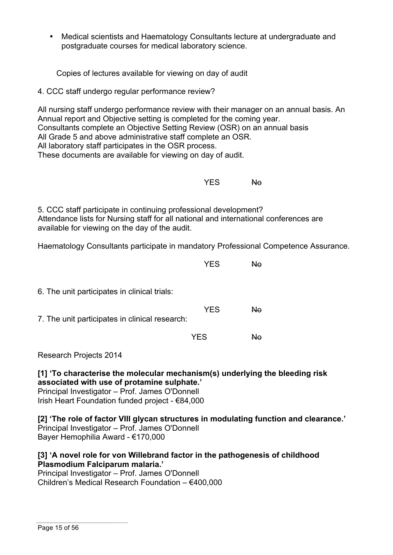• Medical scientists and Haematology Consultants lecture at undergraduate and postgraduate courses for medical laboratory science.

Copies of lectures available for viewing on day of audit

4. CCC staff undergo regular performance review?

All nursing staff undergo performance review with their manager on an annual basis. An Annual report and Objective setting is completed for the coming year. Consultants complete an Objective Setting Review (OSR) on an annual basis All Grade 5 and above administrative staff complete an OSR. All laboratory staff participates in the OSR process. These documents are available for viewing on day of audit.

YES No

5. CCC staff participate in continuing professional development? Attendance lists for Nursing staff for all national and international conferences are available for viewing on the day of the audit.

Haematology Consultants participate in mandatory Professional Competence Assurance.

|                                                | <b>YES</b> | Nο             |  |
|------------------------------------------------|------------|----------------|--|
| 6. The unit participates in clinical trials:   |            |                |  |
| 7. The unit participates in clinical research: | <b>YES</b> | N <sub>o</sub> |  |
|                                                | <b>YES</b> | N٥             |  |

Research Projects 2014

**[1] 'To characterise the molecular mechanism(s) underlying the bleeding risk associated with use of protamine sulphate.'** Principal Investigator – Prof. James O'Donnell Irish Heart Foundation funded project - €84,000

**[2] 'The role of factor VIII glycan structures in modulating function and clearance.'**  Principal Investigator – Prof. James O'Donnell Bayer Hemophilia Award - €170,000

## **[3] 'A novel role for von Willebrand factor in the pathogenesis of childhood Plasmodium Falciparum malaria.'**

Principal Investigator – Prof. James O'Donnell Children's Medical Research Foundation – €400,000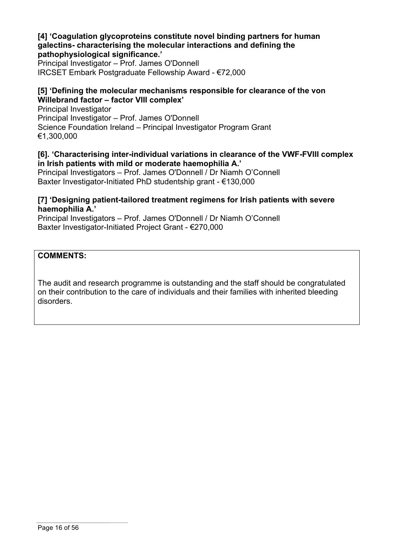#### **[4] 'Coagulation glycoproteins constitute novel binding partners for human galectins- characterising the molecular interactions and defining the pathophysiological significance.'**

Principal Investigator – Prof. James O'Donnell IRCSET Embark Postgraduate Fellowship Award - €72,000

## **[5] 'Defining the molecular mechanisms responsible for clearance of the von Willebrand factor – factor VIII complex'**

Principal Investigator Principal Investigator – Prof. James O'Donnell Science Foundation Ireland – Principal Investigator Program Grant €1,300,000

### **[6]. 'Characterising inter-individual variations in clearance of the VWF-FVIII complex in Irish patients with mild or moderate haemophilia A.'**

Principal Investigators – Prof. James O'Donnell / Dr Niamh O'Connell Baxter Investigator-Initiated PhD studentship grant - €130,000

### **[7] 'Designing patient-tailored treatment regimens for Irish patients with severe haemophilia A.'**

Principal Investigators – Prof. James O'Donnell / Dr Niamh O'Connell Baxter Investigator-Initiated Project Grant - €270,000

**COMMENTS:**

The audit and research programme is outstanding and the staff should be congratulated on their contribution to the care of individuals and their families with inherited bleeding disorders.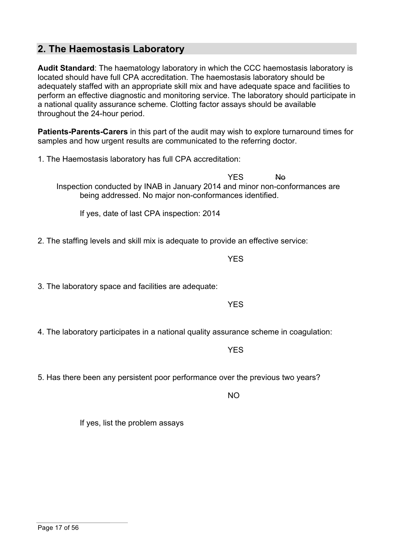**2. The Haemostasis Laboratory**

**Audit Standard**: The haematology laboratory in which the CCC haemostasis laboratory is located should have full CPA accreditation. The haemostasis laboratory should be adequately staffed with an appropriate skill mix and have adequate space and facilities to perform an effective diagnostic and monitoring service. The laboratory should participate in a national quality assurance scheme. Clotting factor assays should be available throughout the 24-hour period.

**Patients-Parents-Carers** in this part of the audit may wish to explore turnaround times for samples and how urgent results are communicated to the referring doctor.

1. The Haemostasis laboratory has full CPA accreditation:

YES No Inspection conducted by INAB in January 2014 and minor non-conformances are being addressed. No major non-conformances identified.

If yes, date of last CPA inspection: 2014

2. The staffing levels and skill mix is adequate to provide an effective service:

YES

3. The laboratory space and facilities are adequate:

YES

4. The laboratory participates in a national quality assurance scheme in coagulation:

YES

#### 5. Has there been any persistent poor performance over the previous two years?

NO

If yes, list the problem assays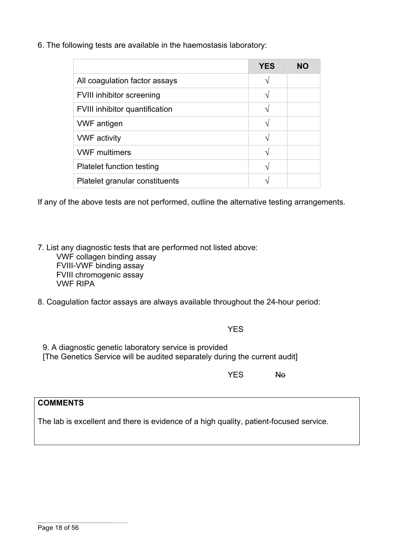6. The following tests are available in the haemostasis laboratory:

|                                       | <b>YES</b> | NΟ |
|---------------------------------------|------------|----|
| All coagulation factor assays         | ٦.         |    |
| <b>FVIII inhibitor screening</b>      |            |    |
| <b>FVIII inhibitor quantification</b> | ٦          |    |
| <b>VWF</b> antigen                    | ٦          |    |
| <b>VWF</b> activity                   | ٦          |    |
| <b>VWF multimers</b>                  |            |    |
| <b>Platelet function testing</b>      |            |    |
| Platelet granular constituents        |            |    |

If any of the above tests are not performed, outline the alternative testing arrangements.

7. List any diagnostic tests that are performed not listed above:

VWF collagen binding assay FVIII-VWF binding assay FVIII chromogenic assay VWF RIPA

8. Coagulation factor assays are always available throughout the 24-hour period:

**YFS** 

9. A diagnostic genetic laboratory service is provided [The Genetics Service will be audited separately during the current audit]

YES No

# **COMMENTS**

The lab is excellent and there is evidence of a high quality, patient-focused service.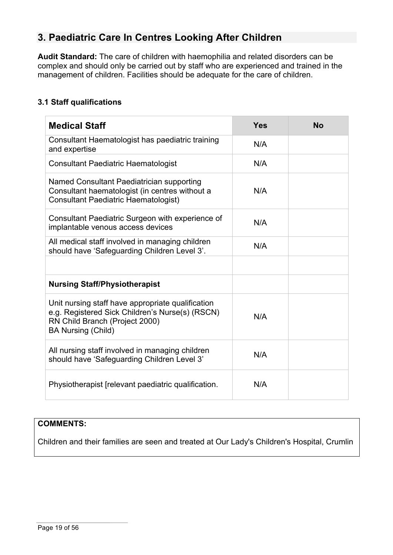# **3. Paediatric Care In Centres Looking After Children**

**Audit Standard:** The care of children with haemophilia and related disorders can be complex and should only be carried out by staff who are experienced and trained in the management of children. Facilities should be adequate for the care of children.

## **3.1 Staff qualifications**

| <b>Medical Staff</b>                                                                                                                                                | <b>Yes</b> | <b>No</b> |
|---------------------------------------------------------------------------------------------------------------------------------------------------------------------|------------|-----------|
| Consultant Haematologist has paediatric training<br>and expertise                                                                                                   | N/A        |           |
| <b>Consultant Paediatric Haematologist</b>                                                                                                                          | N/A        |           |
| Named Consultant Paediatrician supporting<br>Consultant haematologist (in centres without a<br><b>Consultant Paediatric Haematologist)</b>                          | N/A        |           |
| Consultant Paediatric Surgeon with experience of<br>implantable venous access devices                                                                               | N/A        |           |
| All medical staff involved in managing children<br>should have 'Safeguarding Children Level 3'.                                                                     | N/A        |           |
|                                                                                                                                                                     |            |           |
| <b>Nursing Staff/Physiotherapist</b>                                                                                                                                |            |           |
| Unit nursing staff have appropriate qualification<br>e.g. Registered Sick Children's Nurse(s) (RSCN)<br>RN Child Branch (Project 2000)<br><b>BA Nursing (Child)</b> | N/A        |           |
| All nursing staff involved in managing children<br>should have 'Safeguarding Children Level 3'                                                                      | N/A        |           |
| Physiotherapist (relevant paediatric qualification.                                                                                                                 | N/A        |           |

## **COMMENTS:**

Children and their families are seen and treated at Our Lady's Children's Hospital, Crumlin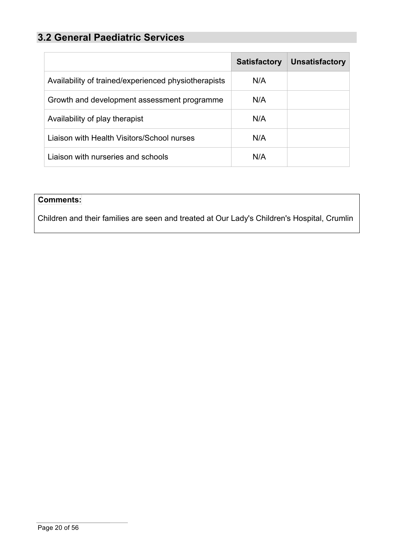# **3.2 General Paediatric Services**

|                                                      | <b>Satisfactory</b> | <b>Unsatisfactory</b> |
|------------------------------------------------------|---------------------|-----------------------|
| Availability of trained/experienced physiotherapists | N/A                 |                       |
| Growth and development assessment programme          | N/A                 |                       |
| Availability of play therapist                       | N/A                 |                       |
| Liaison with Health Visitors/School nurses           | N/A                 |                       |
| Liaison with nurseries and schools                   | N/A                 |                       |

# **Comments:**

Children and their families are seen and treated at Our Lady's Children's Hospital, Crumlin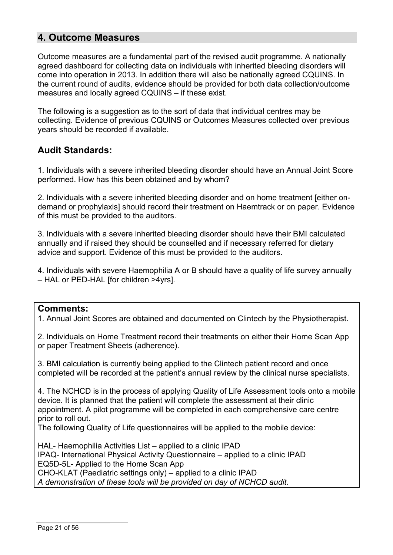# **4. Outcome Measures**

Outcome measures are a fundamental part of the revised audit programme. A nationally agreed dashboard for collecting data on individuals with inherited bleeding disorders will come into operation in 2013. In addition there will also be nationally agreed CQUINS. In the current round of audits, evidence should be provided for both data collection/outcome measures and locally agreed CQUINS – if these exist.

The following is a suggestion as to the sort of data that individual centres may be collecting. Evidence of previous CQUINS or Outcomes Measures collected over previous years should be recorded if available.

# **Audit Standards:**

1. Individuals with a severe inherited bleeding disorder should have an Annual Joint Score performed. How has this been obtained and by whom?

2. Individuals with a severe inherited bleeding disorder and on home treatment [either ondemand or prophylaxis] should record their treatment on Haemtrack or on paper. Evidence of this must be provided to the auditors.

3. Individuals with a severe inherited bleeding disorder should have their BMI calculated annually and if raised they should be counselled and if necessary referred for dietary advice and support. Evidence of this must be provided to the auditors.

4. Individuals with severe Haemophilia A or B should have a quality of life survey annually – HAL or PED-HAL [for children >4yrs].

## **Comments:**

1. Annual Joint Scores are obtained and documented on Clintech by the Physiotherapist.

2. Individuals on Home Treatment record their treatments on either their Home Scan App or paper Treatment Sheets (adherence).

3. BMI calculation is currently being applied to the Clintech patient record and once completed will be recorded at the patient's annual review by the clinical nurse specialists.

4. The NCHCD is in the process of applying Quality of Life Assessment tools onto a mobile device. It is planned that the patient will complete the assessment at their clinic appointment. A pilot programme will be completed in each comprehensive care centre prior to roll out.

The following Quality of Life questionnaires will be applied to the mobile device:

HAL- Haemophilia Activities List – applied to a clinic IPAD IPAQ- International Physical Activity Questionnaire – applied to a clinic IPAD EQ5D-5L- Applied to the Home Scan App CHO-KLAT (Paediatric settings only) – applied to a clinic IPAD *A demonstration of these tools will be provided on day of NCHCD audit.*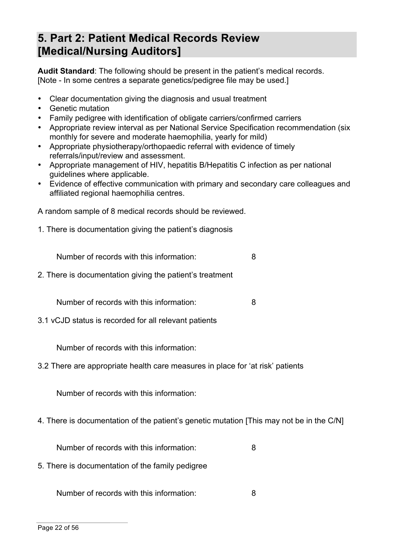# **5. Part 2: Patient Medical Records Review [Medical/Nursing Auditors]**

**Audit Standard**: The following should be present in the patient's medical records. [Note - In some centres a separate genetics/pedigree file may be used.]

- Clear documentation giving the diagnosis and usual treatment
- Genetic mutation
- Family pedigree with identification of obligate carriers/confirmed carriers
- Appropriate review interval as per National Service Specification recommendation (six monthly for severe and moderate haemophilia, yearly for mild)
- Appropriate physiotherapy/orthopaedic referral with evidence of timely referrals/input/review and assessment.
- Appropriate management of HIV, hepatitis B/Hepatitis C infection as per national guidelines where applicable.
- Evidence of effective communication with primary and secondary care colleagues and affiliated regional haemophilia centres.

A random sample of 8 medical records should be reviewed.

1. There is documentation giving the patient's diagnosis

Number of records with this information: 8

2. There is documentation giving the patient's treatment

Number of records with this information: 8

3.1 vCJD status is recorded for all relevant patients

Number of records with this information:

3.2 There are appropriate health care measures in place for 'at risk' patients

Number of records with this information:

4. There is documentation of the patient's genetic mutation [This may not be in the C/N]

Number of records with this information: 8

5. There is documentation of the family pedigree

Number of records with this information: 8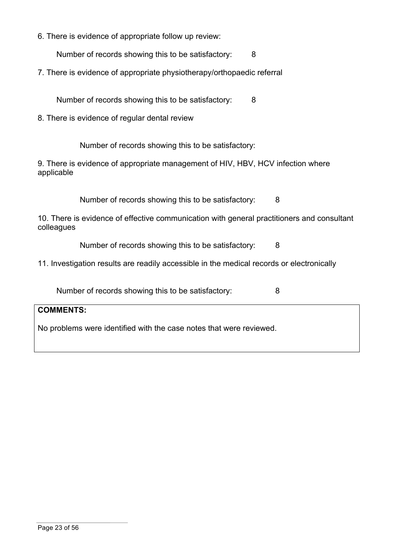6. There is evidence of appropriate follow up review:

Number of records showing this to be satisfactory: 8

7. There is evidence of appropriate physiotherapy/orthopaedic referral

Number of records showing this to be satisfactory: 8

8. There is evidence of regular dental review

Number of records showing this to be satisfactory:

9. There is evidence of appropriate management of HIV, HBV, HCV infection where applicable

Number of records showing this to be satisfactory: 8

10. There is evidence of effective communication with general practitioners and consultant colleagues

Number of records showing this to be satisfactory: 8

11. Investigation results are readily accessible in the medical records or electronically

Number of records showing this to be satisfactory: 8

### **COMMENTS:**

No problems were identified with the case notes that were reviewed.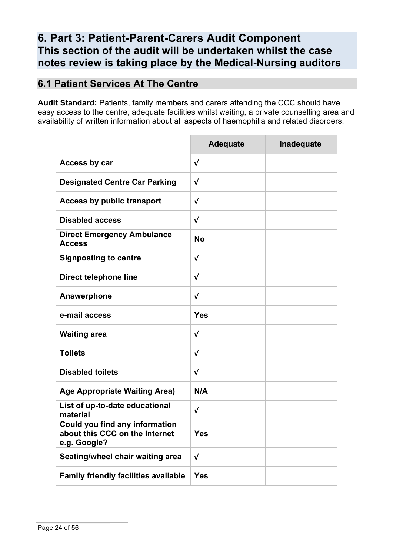# **6. Part 3: Patient-Parent-Carers Audit Component This section of the audit will be undertaken whilst the case notes review is taking place by the Medical-Nursing auditors**

# **6.1 Patient Services At The Centre**

**Audit Standard:** Patients, family members and carers attending the CCC should have easy access to the centre, adequate facilities whilst waiting, a private counselling area and availability of written information about all aspects of haemophilia and related disorders.

|                                                                                         | <b>Adequate</b> | Inadequate |
|-----------------------------------------------------------------------------------------|-----------------|------------|
| Access by car                                                                           | $\checkmark$    |            |
| <b>Designated Centre Car Parking</b>                                                    | $\sqrt{ }$      |            |
| <b>Access by public transport</b>                                                       | $\sqrt{}$       |            |
| <b>Disabled access</b>                                                                  | √               |            |
| <b>Direct Emergency Ambulance</b><br><b>Access</b>                                      | <b>No</b>       |            |
| <b>Signposting to centre</b>                                                            | $\checkmark$    |            |
| <b>Direct telephone line</b>                                                            | √               |            |
| <b>Answerphone</b>                                                                      | $\checkmark$    |            |
| e-mail access                                                                           | Yes             |            |
| <b>Waiting area</b>                                                                     | $\sqrt{}$       |            |
| <b>Toilets</b>                                                                          | √               |            |
| <b>Disabled toilets</b>                                                                 | $\checkmark$    |            |
| <b>Age Appropriate Waiting Area)</b>                                                    | N/A             |            |
| List of up-to-date educational<br>material                                              | $\sqrt{}$       |            |
| <b>Could you find any information</b><br>about this CCC on the Internet<br>e.g. Google? | Yes             |            |
| Seating/wheel chair waiting area                                                        | $\checkmark$    |            |
| <b>Family friendly facilities available</b>                                             | <b>Yes</b>      |            |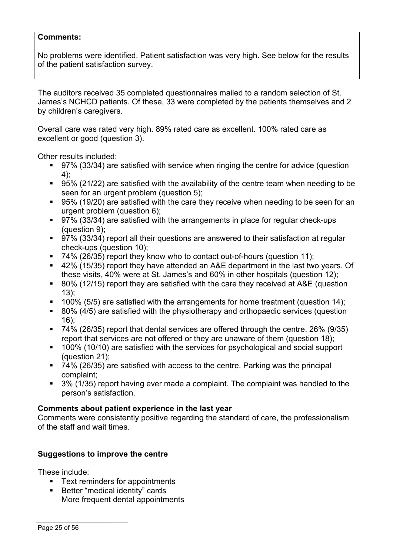#### **Comments:**

No problems were identified. Patient satisfaction was very high. See below for the results of the patient satisfaction survey.

The auditors received 35 completed questionnaires mailed to a random selection of St. James's NCHCD patients. Of these, 33 were completed by the patients themselves and 2 by children's caregivers.

Overall care was rated very high. 89% rated care as excellent. 100% rated care as excellent or good (question 3).

Other results included:

- 97% (33/34) are satisfied with service when ringing the centre for advice (question 4);
- 95% (21/22) are satisfied with the availability of the centre team when needing to be seen for an urgent problem (question 5);
- 95% (19/20) are satisfied with the care they receive when needing to be seen for an urgent problem (question 6);
- 97% (33/34) are satisfied with the arrangements in place for regular check-ups (question 9);
- 97% (33/34) report all their questions are answered to their satisfaction at regular check-ups (question 10);
- 74% (26/35) report they know who to contact out-of-hours (question 11):
- § 42% (15/35) report they have attended an A&E department in the last two years. Of these visits, 40% were at St. James's and 60% in other hospitals (question 12);
- 80% (12/15) report they are satisfied with the care they received at A&E (question 13);
- 100% (5/5) are satisfied with the arrangements for home treatment (question 14);
- 80% (4/5) are satisfied with the physiotherapy and orthopaedic services (question 16);
- 74% (26/35) report that dental services are offered through the centre. 26% (9/35) report that services are not offered or they are unaware of them (question 18);
- 100% (10/10) are satisfied with the services for psychological and social support (question 21);
- 74% (26/35) are satisfied with access to the centre. Parking was the principal complaint;
- 3% (1/35) report having ever made a complaint. The complaint was handled to the person's satisfaction.

#### **Comments about patient experience in the last year**

Comments were consistently positive regarding the standard of care, the professionalism of the staff and wait times.

## **Suggestions to improve the centre**

These include:

- Text reminders for appointments
- Better "medical identity" cards More frequent dental appointments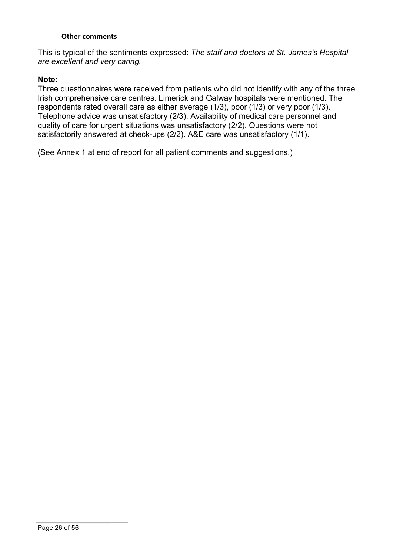#### **Other comments**

This is typical of the sentiments expressed: *The staff and doctors at St. James's Hospital are excellent and very caring.*

#### **Note:**

Three questionnaires were received from patients who did not identify with any of the three Irish comprehensive care centres. Limerick and Galway hospitals were mentioned. The respondents rated overall care as either average (1/3), poor (1/3) or very poor (1/3). Telephone advice was unsatisfactory (2/3). Availability of medical care personnel and quality of care for urgent situations was unsatisfactory (2/2). Questions were not satisfactorily answered at check-ups (2/2). A&E care was unsatisfactory (1/1).

(See Annex 1 at end of report for all patient comments and suggestions.)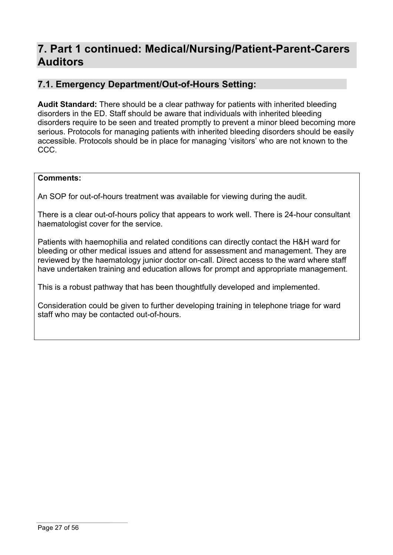# **7. Part 1 continued: Medical/Nursing/Patient-Parent-Carers Auditors**

# **7.1. Emergency Department/Out-of-Hours Setting:**

**Audit Standard:** There should be a clear pathway for patients with inherited bleeding disorders in the ED. Staff should be aware that individuals with inherited bleeding disorders require to be seen and treated promptly to prevent a minor bleed becoming more serious. Protocols for managing patients with inherited bleeding disorders should be easily accessible. Protocols should be in place for managing 'visitors' who are not known to the CCC.

### **Comments:**

An SOP for out-of-hours treatment was available for viewing during the audit.

There is a clear out-of-hours policy that appears to work well. There is 24-hour consultant haematologist cover for the service.

Patients with haemophilia and related conditions can directly contact the H&H ward for bleeding or other medical issues and attend for assessment and management. They are reviewed by the haematology junior doctor on-call. Direct access to the ward where staff have undertaken training and education allows for prompt and appropriate management.

This is a robust pathway that has been thoughtfully developed and implemented.

Consideration could be given to further developing training in telephone triage for ward staff who may be contacted out-of-hours.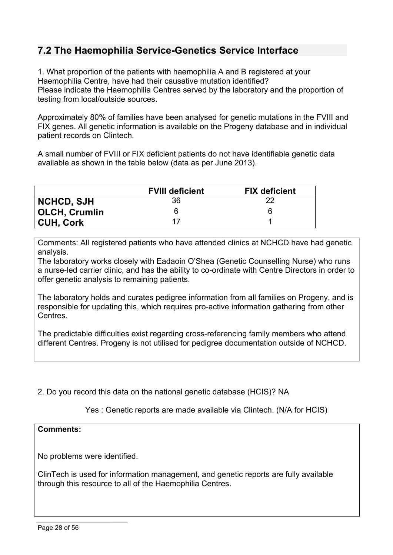# **7.2 The Haemophilia Service-Genetics Service Interface**

1. What proportion of the patients with haemophilia A and B registered at your Haemophilia Centre, have had their causative mutation identified? Please indicate the Haemophilia Centres served by the laboratory and the proportion of testing from local/outside sources.

Approximately 80% of families have been analysed for genetic mutations in the FVIII and FIX genes. All genetic information is available on the Progeny database and in individual patient records on Clintech.

A small number of FVIII or FIX deficient patients do not have identifiable genetic data available as shown in the table below (data as per June 2013).

|                      | <b>FVIII deficient</b> | <b>FIX deficient</b> |
|----------------------|------------------------|----------------------|
| <b>NCHCD, SJH</b>    | 36                     | 22                   |
| <b>OLCH, Crumlin</b> | 6                      |                      |
| <b>CUH, Cork</b>     | 17                     |                      |

Comments: All registered patients who have attended clinics at NCHCD have had genetic analysis.

The laboratory works closely with Eadaoin O'Shea (Genetic Counselling Nurse) who runs a nurse-led carrier clinic, and has the ability to co-ordinate with Centre Directors in order to offer genetic analysis to remaining patients.

The laboratory holds and curates pedigree information from all families on Progeny, and is responsible for updating this, which requires pro-active information gathering from other Centres.

The predictable difficulties exist regarding cross-referencing family members who attend different Centres. Progeny is not utilised for pedigree documentation outside of NCHCD.

2. Do you record this data on the national genetic database (HCIS)? NA

Yes : Genetic reports are made available via Clintech. (N/A for HCIS)

#### **Comments:**

No problems were identified.

ClinTech is used for information management, and genetic reports are fully available through this resource to all of the Haemophilia Centres.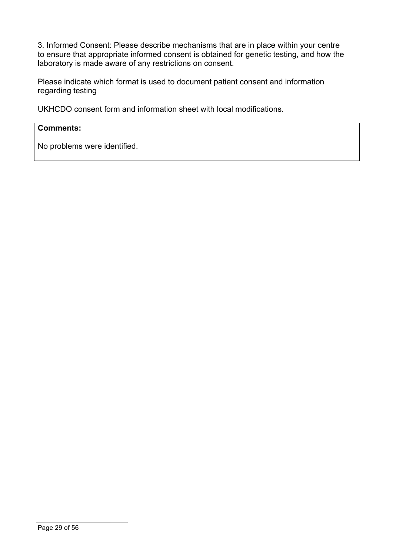3. Informed Consent: Please describe mechanisms that are in place within your centre to ensure that appropriate informed consent is obtained for genetic testing, and how the laboratory is made aware of any restrictions on consent.

Please indicate which format is used to document patient consent and information regarding testing

UKHCDO consent form and information sheet with local modifications.

### **Comments:**

No problems were identified.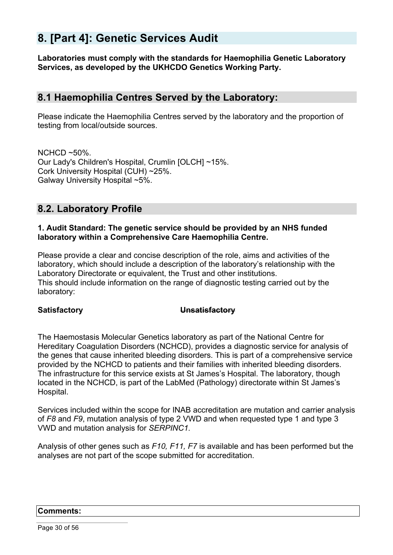# **8. [Part 4]: Genetic Services Audit**

**Laboratories must comply with the standards for Haemophilia Genetic Laboratory Services, as developed by the UKHCDO Genetics Working Party.**

# **8.1 Haemophilia Centres Served by the Laboratory:**

Please indicate the Haemophilia Centres served by the laboratory and the proportion of testing from local/outside sources.

 $NCHCD \sim 50\%$ . Our Lady's Children's Hospital, Crumlin [OLCH] ~15%. Cork University Hospital (CUH) ~25%. Galway University Hospital ~5%.

# **8.2. Laboratory Profile**

#### **1. Audit Standard: The genetic service should be provided by an NHS funded laboratory within a Comprehensive Care Haemophilia Centre.**

Please provide a clear and concise description of the role, aims and activities of the laboratory, which should include a description of the laboratory's relationship with the Laboratory Directorate or equivalent, the Trust and other institutions. This should include information on the range of diagnostic testing carried out by the laboratory:

#### **Satisfactory Unsatisfactory**

The Haemostasis Molecular Genetics laboratory as part of the National Centre for Hereditary Coagulation Disorders (NCHCD), provides a diagnostic service for analysis of the genes that cause inherited bleeding disorders. This is part of a comprehensive service provided by the NCHCD to patients and their families with inherited bleeding disorders. The infrastructure for this service exists at St James's Hospital. The laboratory, though located in the NCHCD, is part of the LabMed (Pathology) directorate within St James's Hospital.

Services included within the scope for INAB accreditation are mutation and carrier analysis of *F8* and *F9*, mutation analysis of type 2 VWD and when requested type 1 and type 3 VWD and mutation analysis for *SERPINC1.*

Analysis of other genes such as *F10, F11, F7* is available and has been performed but the analyses are not part of the scope submitted for accreditation.

#### **Comments:**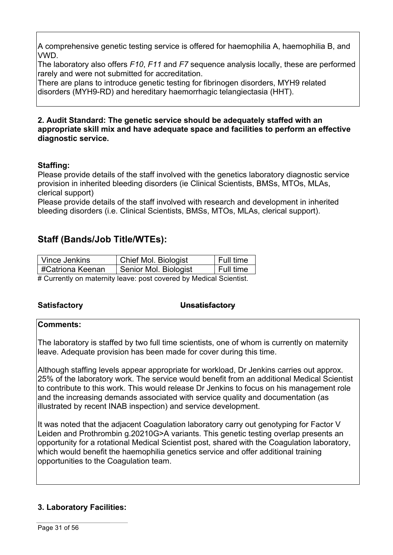A comprehensive genetic testing service is offered for haemophilia A, haemophilia B, and VWD.

The laboratory also offers *F10*, *F11* and *F7* sequence analysis locally, these are performed rarely and were not submitted for accreditation.

There are plans to introduce genetic testing for fibrinogen disorders, MYH9 related disorders (MYH9-RD) and hereditary haemorrhagic telangiectasia (HHT).

#### **2. Audit Standard: The genetic service should be adequately staffed with an appropriate skill mix and have adequate space and facilities to perform an effective diagnostic service.**

## **Staffing:**

Please provide details of the staff involved with the genetics laboratory diagnostic service provision in inherited bleeding disorders (ie Clinical Scientists, BMSs, MTOs, MLAs, clerical support)

Please provide details of the staff involved with research and development in inherited bleeding disorders (i.e. Clinical Scientists, BMSs, MTOs, MLAs, clerical support).

# **Staff (Bands/Job Title/WTEs):**

| Vince Jenkins                                                     | Chief Mol. Biologist  | ∣ Full time |  |
|-------------------------------------------------------------------|-----------------------|-------------|--|
| #Catriona Keenan                                                  | Senior Mol. Biologist | Full time   |  |
| # Currently on maternity leave: nost covered by Medical Scientist |                       |             |  |

# Currently on maternity leave: post covered by Medical Scientist.

#### **Satisfactory Unsatisfactory**

#### **Comments:**

The laboratory is staffed by two full time scientists, one of whom is currently on maternity leave. Adequate provision has been made for cover during this time.

Although staffing levels appear appropriate for workload, Dr Jenkins carries out approx. 25% of the laboratory work. The service would benefit from an additional Medical Scientist to contribute to this work. This would release Dr Jenkins to focus on his management role and the increasing demands associated with service quality and documentation (as illustrated by recent INAB inspection) and service development.

It was noted that the adjacent Coagulation laboratory carry out genotyping for Factor V Leiden and Prothrombin g.20210G>A variants. This genetic testing overlap presents an opportunity for a rotational Medical Scientist post, shared with the Coagulation laboratory, which would benefit the haemophilia genetics service and offer additional training opportunities to the Coagulation team.

## **3. Laboratory Facilities:**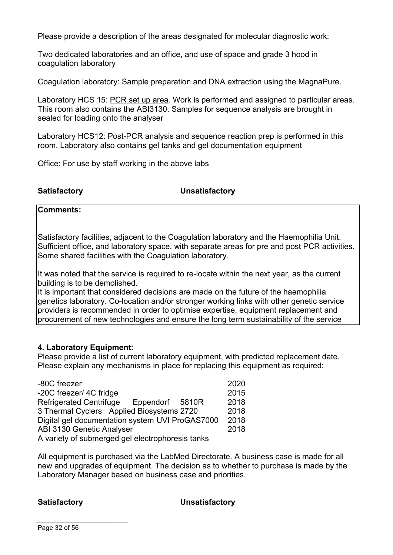Please provide a description of the areas designated for molecular diagnostic work:

Two dedicated laboratories and an office, and use of space and grade 3 hood in coagulation laboratory

Coagulation laboratory: Sample preparation and DNA extraction using the MagnaPure.

Laboratory HCS 15: PCR set up area. Work is performed and assigned to particular areas. This room also contains the ABI3130. Samples for sequence analysis are brought in sealed for loading onto the analyser

Laboratory HCS12: Post-PCR analysis and sequence reaction prep is performed in this room. Laboratory also contains gel tanks and gel documentation equipment

Office: For use by staff working in the above labs

**Satisfactory Unsatisfactory**

**Comments:**

Satisfactory facilities, adjacent to the Coagulation laboratory and the Haemophilia Unit. Sufficient office, and laboratory space, with separate areas for pre and post PCR activities. Some shared facilities with the Coagulation laboratory.

It was noted that the service is required to re-locate within the next year, as the current building is to be demolished.

It is important that considered decisions are made on the future of the haemophilia genetics laboratory. Co-location and/or stronger working links with other genetic service providers is recommended in order to optimise expertise, equipment replacement and procurement of new technologies and ensure the long term sustainability of the service

#### **4. Laboratory Equipment:**

Please provide a list of current laboratory equipment, with predicted replacement date. Please explain any mechanisms in place for replacing this equipment as required:

| -80C freezer                                      | 2020 |  |
|---------------------------------------------------|------|--|
| -20C freezer/ 4C fridge                           | 2015 |  |
| <b>Refrigerated Centrifuge</b><br>Eppendorf 5810R | 2018 |  |
| 3 Thermal Cyclers Applied Biosystems 2720         | 2018 |  |
| Digital gel documentation system UVI ProGAS7000   |      |  |
| <b>ABI 3130 Genetic Analyser</b>                  |      |  |
| A variety of submerged gel electrophoresis tanks  |      |  |

All equipment is purchased via the LabMed Directorate. A business case is made for all new and upgrades of equipment. The decision as to whether to purchase is made by the Laboratory Manager based on business case and priorities.

#### **Satisfactory Unsatisfactory**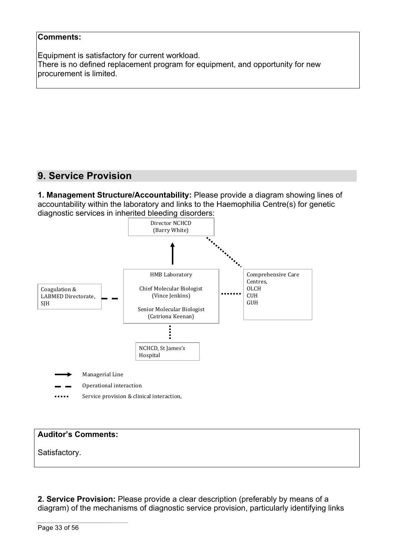#### **Comments:**

Equipment is satisfactory for current workload. There is no defined replacement program for equipment, and opportunity for new procurement is limited.

# **9. Service Provision**

**1. Management Structure/Accountability:** Please provide a diagram showing lines of accountability within the laboratory and links to the Haemophilia Centre(s) for genetic diagnostic services in inherited bleeding disorders:



| <b>Auditor's Comments:</b> |  |  |
|----------------------------|--|--|
| Satisfactory.              |  |  |

**2. Service Provision:** Please provide a clear description (preferably by means of a diagram) of the mechanisms of diagnostic service provision, particularly identifying links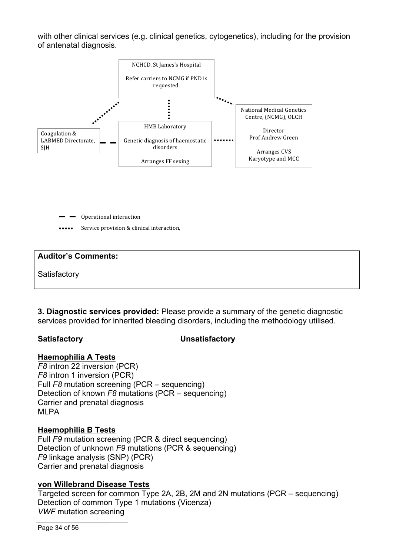with other clinical services (e.g. clinical genetics, cytogenetics), including for the provision of antenatal diagnosis.



Operational interaction

Service provision & clinical interaction,

#### **Auditor's Comments:**

**Satisfactory** 

**3. Diagnostic services provided:** Please provide a summary of the genetic diagnostic services provided for inherited bleeding disorders, including the methodology utilised.

#### **Satisfactory Unsatisfactory**

#### **Haemophilia A Tests**

*F8* intron 22 inversion (PCR) *F8* intron 1 inversion (PCR) Full *F8* mutation screening (PCR – sequencing) Detection of known *F8* mutations (PCR – sequencing) Carrier and prenatal diagnosis MLPA

## **Haemophilia B Tests**

Full *F9* mutation screening (PCR & direct sequencing) Detection of unknown *F9* mutations (PCR & sequencing) *F9* linkage analysis (SNP) (PCR) Carrier and prenatal diagnosis

## **von Willebrand Disease Tests**

Targeted screen for common Type 2A, 2B, 2M and 2N mutations (PCR – sequencing) Detection of common Type 1 mutations (Vicenza) *VWF* mutation screening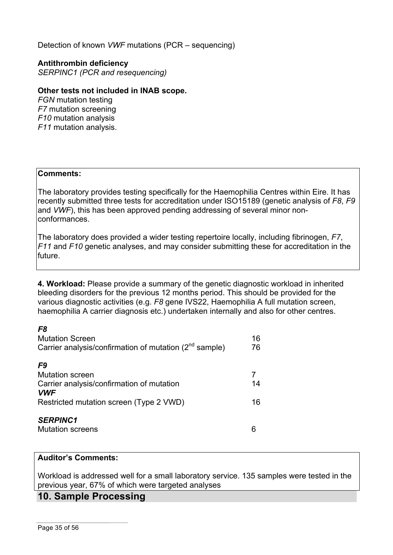Detection of known *VWF* mutations (PCR – sequencing)

#### **Antithrombin deficiency**

*SERPINC1 (PCR and resequencing)*

#### **Other tests not included in INAB scope.**

*FGN* mutation testing *F7* mutation screening *F10* mutation analysis *F11* mutation analysis.

#### **Comments:**

The laboratory provides testing specifically for the Haemophilia Centres within Eire. It has recently submitted three tests for accreditation under ISO15189 (genetic analysis of *F8*, *F9* and *VWF*), this has been approved pending addressing of several minor nonconformances.

The laboratory does provided a wider testing repertoire locally, including fibrinogen, *F7*, *F11* and *F10* genetic analyses, and may consider submitting these for accreditation in the future.

**4. Workload:** Please provide a summary of the genetic diagnostic workload in inherited bleeding disorders for the previous 12 months period. This should be provided for the various diagnostic activities (e.g. *F8* gene IVS22, Haemophilia A full mutation screen, haemophilia A carrier diagnosis etc.) undertaken internally and also for other centres.

| F8<br><b>Mutation Screen</b><br>Carrier analysis/confirmation of mutation (2 <sup>nd</sup> sample)                                 | 16<br>76 |
|------------------------------------------------------------------------------------------------------------------------------------|----------|
| F9<br><b>Mutation screen</b><br>Carrier analysis/confirmation of mutation<br><b>VWF</b><br>Restricted mutation screen (Type 2 VWD) | 14<br>16 |
| <b>SERPINC1</b><br><b>Mutation screens</b>                                                                                         |          |

#### **Auditor's Comments:**

Workload is addressed well for a small laboratory service. 135 samples were tested in the previous year, 67% of which were targeted analyses

## **10. Sample Processing**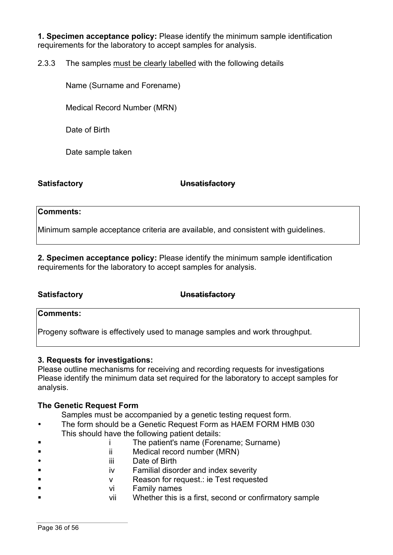**1. Specimen acceptance policy:** Please identify the minimum sample identification requirements for the laboratory to accept samples for analysis.

2.3.3 The samples must be clearly labelled with the following details

Name (Surname and Forename)

Medical Record Number (MRN)

Date of Birth

Date sample taken

#### **Satisfactory Unsatisfactory**

#### **Comments:**

Minimum sample acceptance criteria are available, and consistent with guidelines.

**2. Specimen acceptance policy:** Please identify the minimum sample identification requirements for the laboratory to accept samples for analysis.

**Satisfactory Unsatisfactory**

#### **Comments:**

Progeny software is effectively used to manage samples and work throughput.

#### **3. Requests for investigations:**

Please outline mechanisms for receiving and recording requests for investigations Please identify the minimum data set required for the laboratory to accept samples for analysis.

#### **The Genetic Request Form**

Samples must be accompanied by a genetic testing request form.

- The form should be a Genetic Request Form as HAEM FORM HMB 030 This should have the following patient details:
	- § i The patient's name (Forename; Surname)
- ii Medical record number (MRN)
- iii Date of Birth
- iv Familial disorder and index severity
- § v Reason for request.: ie Test requested
- § vi Family names
- vii Whether this is a first, second or confirmatory sample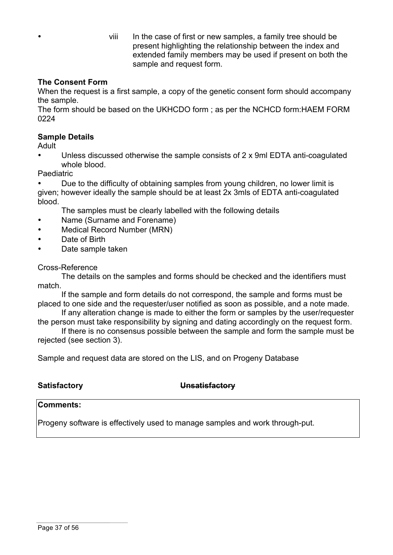• viii In the case of first or new samples, a family tree should be present highlighting the relationship between the index and extended family members may be used if present on both the sample and request form.

## **The Consent Form**

When the request is a first sample, a copy of the genetic consent form should accompany the sample.

The form should be based on the UKHCDO form ; as per the NCHCD form:HAEM FORM 0224

### **Sample Details**

Adult

• Unless discussed otherwise the sample consists of 2 x 9ml EDTA anti-coagulated whole blood

**Paediatric** 

• Due to the difficulty of obtaining samples from young children, no lower limit is given; however ideally the sample should be at least 2x 3mls of EDTA anti-coagulated blood.

The samples must be clearly labelled with the following details

- Name (Surname and Forename)
- Medical Record Number (MRN)
- Date of Birth
- Date sample taken

Cross-Reference

The details on the samples and forms should be checked and the identifiers must match.

If the sample and form details do not correspond, the sample and forms must be placed to one side and the requester/user notified as soon as possible, and a note made.

If any alteration change is made to either the form or samples by the user/requester the person must take responsibility by signing and dating accordingly on the request form.

If there is no consensus possible between the sample and form the sample must be rejected (see section 3).

Sample and request data are stored on the LIS, and on Progeny Database

## **Satisfactory Unsatisfactory**

#### **Comments:**

Progeny software is effectively used to manage samples and work through-put.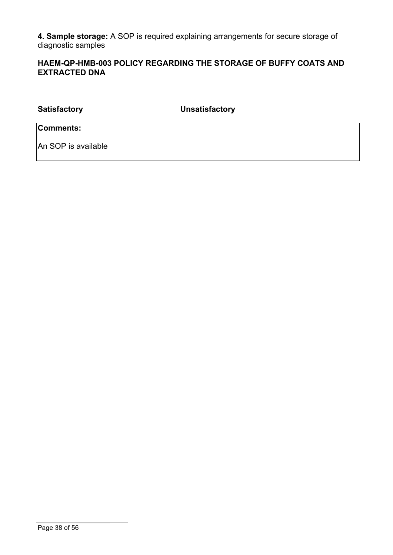**4. Sample storage:** A SOP is required explaining arrangements for secure storage of diagnostic samples

## **HAEM-QP-HMB-003 POLICY REGARDING THE STORAGE OF BUFFY COATS AND EXTRACTED DNA**

**Satisfactory Unsatisfactory Comments:**

An SOP is available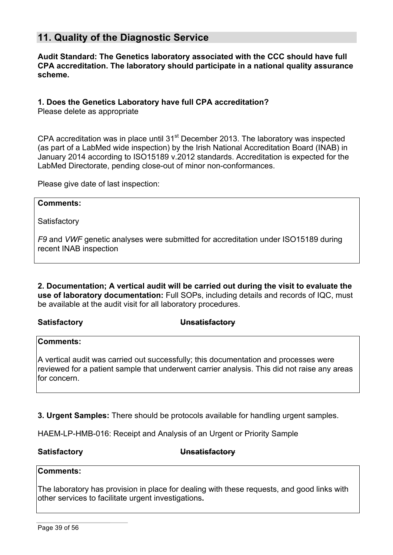# **11. Quality of the Diagnostic Service**

**Audit Standard: The Genetics laboratory associated with the CCC should have full CPA accreditation. The laboratory should participate in a national quality assurance scheme.**

#### **1. Does the Genetics Laboratory have full CPA accreditation?**

Please delete as appropriate

CPA accreditation was in place until  $31<sup>st</sup>$  December 2013. The laboratory was inspected (as part of a LabMed wide inspection) by the Irish National Accreditation Board (INAB) in January 2014 according to ISO15189 v.2012 standards. Accreditation is expected for the LabMed Directorate, pending close-out of minor non-conformances.

Please give date of last inspection:

#### **Comments:**

**Satisfactory** 

*F9* and *VWF* genetic analyses were submitted for accreditation under ISO15189 during recent INAB inspection

**2. Documentation; A vertical audit will be carried out during the visit to evaluate the use of laboratory documentation:** Full SOPs, including details and records of IQC, must be available at the audit visit for all laboratory procedures.

**Satisfactory Unsatisfactory**

## **Comments:**

A vertical audit was carried out successfully; this documentation and processes were reviewed for a patient sample that underwent carrier analysis. This did not raise any areas for concern.

**3. Urgent Samples:** There should be protocols available for handling urgent samples.

HAEM-LP-HMB-016: Receipt and Analysis of an Urgent or Priority Sample

**Satisfactory Unsatisfactory**

#### **Comments:**

The laboratory has provision in place for dealing with these requests, and good links with other services to facilitate urgent investigations**.**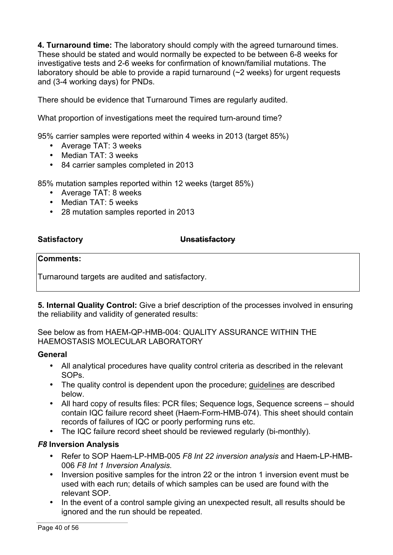**4. Turnaround time:** The laboratory should comply with the agreed turnaround times. These should be stated and would normally be expected to be between 6-8 weeks for investigative tests and 2-6 weeks for confirmation of known/familial mutations. The laboratory should be able to provide a rapid turnaround (~2 weeks) for urgent requests and (3-4 working days) for PNDs.

There should be evidence that Turnaround Times are regularly audited.

What proportion of investigations meet the required turn-around time?

95% carrier samples were reported within 4 weeks in 2013 (target 85%)

- Average TAT: 3 weeks
- Median TAT: 3 weeks
- 84 carrier samples completed in 2013

85% mutation samples reported within 12 weeks (target 85%)

- Average TAT: 8 weeks
- Median TAT: 5 weeks
- 28 mutation samples reported in 2013

### **Satisfactory Unsatisfactory**

#### **Comments:**

Turnaround targets are audited and satisfactory.

**5. Internal Quality Control:** Give a brief description of the processes involved in ensuring the reliability and validity of generated results:

### See below as from HAEM-QP-HMB-004: QUALITY ASSURANCE WITHIN THE HAEMOSTASIS MOLECULAR LABORATORY

#### **General**

- All analytical procedures have quality control criteria as described in the relevant SOPs.
- The quality control is dependent upon the procedure; guidelines are described below.
- All hard copy of results files: PCR files; Sequence logs, Sequence screens should contain IQC failure record sheet (Haem-Form-HMB-074). This sheet should contain records of failures of IQC or poorly performing runs etc.
- The IQC failure record sheet should be reviewed regularly (bi-monthly).

## *F8* **Inversion Analysis**

- Refer to SOP Haem-LP-HMB-005 *F8 Int 22 inversion analysis* and Haem-LP-HMB-006 *F8 Int 1 Inversion Analysis.*
- Inversion positive samples for the intron 22 or the intron 1 inversion event must be used with each run; details of which samples can be used are found with the relevant SOP.
- In the event of a control sample giving an unexpected result, all results should be ignored and the run should be repeated.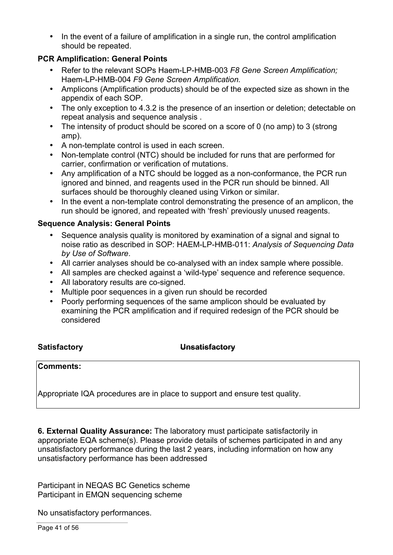• In the event of a failure of amplification in a single run, the control amplification should be repeated.

## **PCR Amplification: General Points**

- Refer to the relevant SOPs Haem-LP-HMB-003 *F8 Gene Screen Amplification;* Haem-LP-HMB-004 *F9 Gene Screen Amplification.*
- Amplicons (Amplification products) should be of the expected size as shown in the appendix of each SOP.
- The only exception to 4.3.2 is the presence of an insertion or deletion; detectable on repeat analysis and sequence analysis .
- The intensity of product should be scored on a score of 0 (no amp) to 3 (strong amp).
- A non-template control is used in each screen.
- Non-template control (NTC) should be included for runs that are performed for carrier, confirmation or verification of mutations.
- Any amplification of a NTC should be logged as a non-conformance, the PCR run ignored and binned, and reagents used in the PCR run should be binned. All surfaces should be thoroughly cleaned using Virkon or similar.
- In the event a non-template control demonstrating the presence of an amplicon, the run should be ignored, and repeated with 'fresh' previously unused reagents.

## **Sequence Analysis: General Points**

- Sequence analysis quality is monitored by examination of a signal and signal to noise ratio as described in SOP: HAEM-LP-HMB-011: *Analysis of Sequencing Data by Use of Software*.
- All carrier analyses should be co-analysed with an index sample where possible.
- All samples are checked against a 'wild-type' sequence and reference sequence.
- All laboratory results are co-signed.
- Multiple poor sequences in a given run should be recorded
- Poorly performing sequences of the same amplicon should be evaluated by examining the PCR amplification and if required redesign of the PCR should be considered

#### **Satisfactory Unsatisfactory**

#### **Comments:**

Appropriate IQA procedures are in place to support and ensure test quality.

**6. External Quality Assurance:** The laboratory must participate satisfactorily in appropriate EQA scheme(s). Please provide details of schemes participated in and any unsatisfactory performance during the last 2 years, including information on how any unsatisfactory performance has been addressed

Participant in NEQAS BC Genetics scheme Participant in EMQN sequencing scheme

No unsatisfactory performances.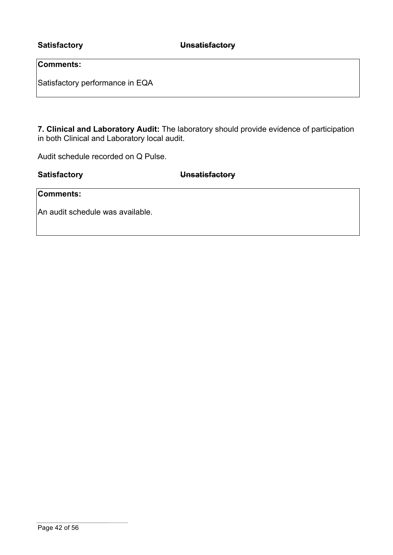## **Comments:**

Satisfactory performance in EQA

**7. Clinical and Laboratory Audit:** The laboratory should provide evidence of participation in both Clinical and Laboratory local audit.

Audit schedule recorded on Q Pulse.

**Satisfactory Unsatisfactory**

**Comments:**

An audit schedule was available.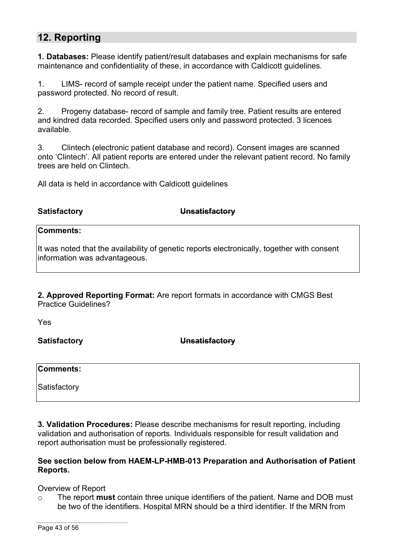# **12. Reporting**

**1. Databases:** Please identify patient/result databases and explain mechanisms for safe maintenance and confidentiality of these, in accordance with Caldicott guidelines.

1. LIMS- record of sample receipt under the patient name. Specified users and password protected. No record of result.

2. Progeny database- record of sample and family tree. Patient results are entered and kindred data recorded. Specified users only and password protected. 3 licences available.

3. Clintech (electronic patient database and record). Consent images are scanned onto 'Clintech'. All patient reports are entered under the relevant patient record. No family trees are held on Clintech.

All data is held in accordance with Caldicott guidelines

**Satisfactory Unsatisfactory**

## **Comments:**

It was noted that the availability of genetic reports electronically, together with consent information was advantageous.

**2. Approved Reporting Format:** Are report formats in accordance with CMGS Best Practice Guidelines?

Yes

**Satisfactory Unsatisfactory**

**Comments:**

**Satisfactory** 

**3. Validation Procedures:** Please describe mechanisms for result reporting, including validation and authorisation of reports. Individuals responsible for result validation and report authorisation must be professionally registered.

#### **See section below from HAEM-LP-HMB-013 Preparation and Authorisation of Patient Reports.**

Overview of Report

o The report **must** contain three unique identifiers of the patient. Name and DOB must be two of the identifiers. Hospital MRN should be a third identifier. If the MRN from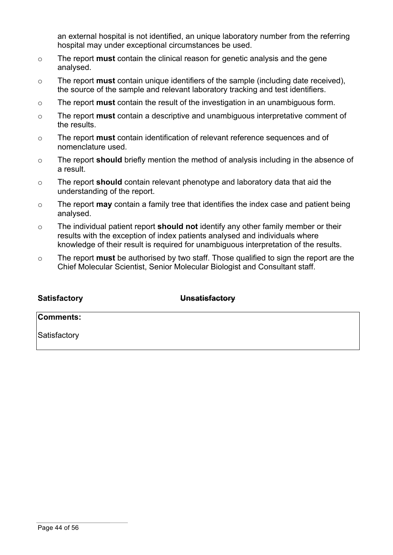an external hospital is not identified, an unique laboratory number from the referring hospital may under exceptional circumstances be used.

- o The report **must** contain the clinical reason for genetic analysis and the gene analysed.
- o The report **must** contain unique identifiers of the sample (including date received), the source of the sample and relevant laboratory tracking and test identifiers.
- o The report **must** contain the result of the investigation in an unambiguous form.
- o The report **must** contain a descriptive and unambiguous interpretative comment of the results.
- o The report **must** contain identification of relevant reference sequences and of nomenclature used.
- o The report **should** briefly mention the method of analysis including in the absence of a result.
- o The report **should** contain relevant phenotype and laboratory data that aid the understanding of the report.
- o The report **may** contain a family tree that identifies the index case and patient being analysed.
- o The individual patient report **should not** identify any other family member or their results with the exception of index patients analysed and individuals where knowledge of their result is required for unambiguous interpretation of the results.
- o The report **must** be authorised by two staff. Those qualified to sign the report are the Chief Molecular Scientist, Senior Molecular Biologist and Consultant staff.

| <b>Satisfactory</b> | <b>Unsatisfactory</b> |  |
|---------------------|-----------------------|--|
| <b>Comments:</b>    |                       |  |
| Satisfactory        |                       |  |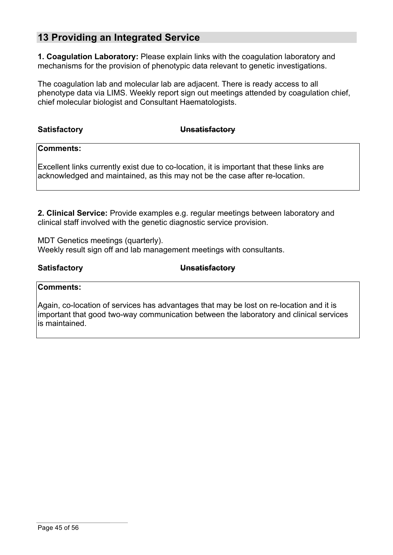# **13 Providing an Integrated Service**

**1. Coagulation Laboratory:** Please explain links with the coagulation laboratory and mechanisms for the provision of phenotypic data relevant to genetic investigations.

The coagulation lab and molecular lab are adjacent. There is ready access to all phenotype data via LIMS. Weekly report sign out meetings attended by coagulation chief, chief molecular biologist and Consultant Haematologists.

| <b>Satisfactory</b> | Unsatisfactory |
|---------------------|----------------|
|---------------------|----------------|

**Comments:**

Excellent links currently exist due to co-location, it is important that these links are acknowledged and maintained, as this may not be the case after re-location.

**2. Clinical Service:** Provide examples e.g. regular meetings between laboratory and clinical staff involved with the genetic diagnostic service provision.

MDT Genetics meetings (quarterly). Weekly result sign off and lab management meetings with consultants.

**Satisfactory Unsatisfactory**

#### **Comments:**

Again, co-location of services has advantages that may be lost on re-location and it is important that good two-way communication between the laboratory and clinical services is maintained.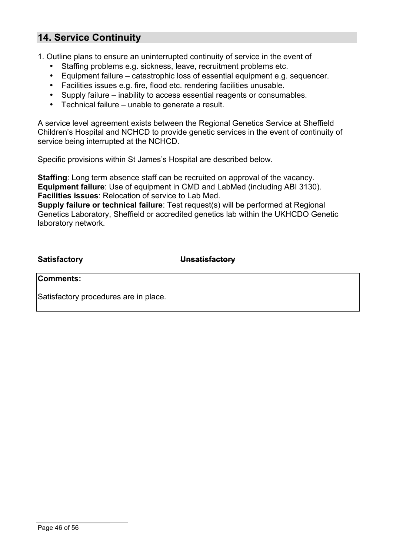# **14. Service Continuity**

1. Outline plans to ensure an uninterrupted continuity of service in the event of

- Staffing problems e.g. sickness, leave, recruitment problems etc.
- Equipment failure catastrophic loss of essential equipment e.g. sequencer.
- Facilities issues e.g. fire, flood etc. rendering facilities unusable.
- Supply failure inability to access essential reagents or consumables.
- Technical failure unable to generate a result.

A service level agreement exists between the Regional Genetics Service at Sheffield Children's Hospital and NCHCD to provide genetic services in the event of continuity of service being interrupted at the NCHCD.

Specific provisions within St James's Hospital are described below.

**Staffing:** Long term absence staff can be recruited on approval of the vacancy. **Equipment failure**: Use of equipment in CMD and LabMed (including ABI 3130). **Facilities issues**: Relocation of service to Lab Med.

**Supply failure or technical failure**: Test request(s) will be performed at Regional Genetics Laboratory, Sheffield or accredited genetics lab within the UKHCDO Genetic laboratory network.

**Satisfactory Unsatisfactory**

**Comments:**

Satisfactory procedures are in place.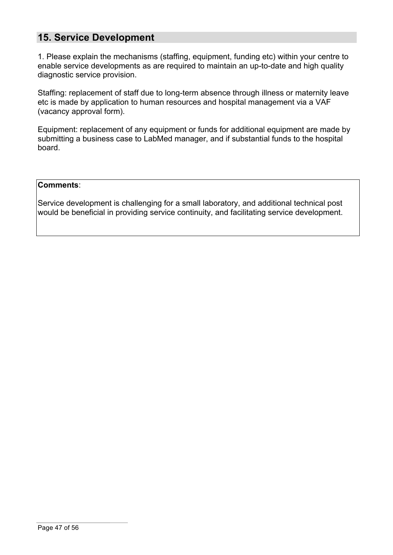# **15. Service Development**

1. Please explain the mechanisms (staffing, equipment, funding etc) within your centre to enable service developments as are required to maintain an up-to-date and high quality diagnostic service provision.

Staffing: replacement of staff due to long-term absence through illness or maternity leave etc is made by application to human resources and hospital management via a VAF (vacancy approval form).

Equipment: replacement of any equipment or funds for additional equipment are made by submitting a business case to LabMed manager, and if substantial funds to the hospital board.

#### **Comments**:

Service development is challenging for a small laboratory, and additional technical post would be beneficial in providing service continuity, and facilitating service development.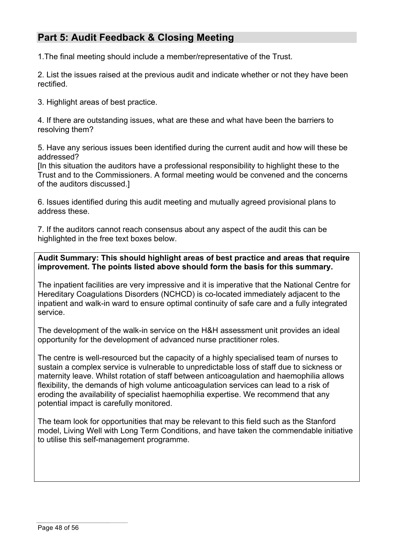# **Part 5: Audit Feedback & Closing Meeting**

1.The final meeting should include a member/representative of the Trust.

2. List the issues raised at the previous audit and indicate whether or not they have been rectified.

3. Highlight areas of best practice.

4. If there are outstanding issues, what are these and what have been the barriers to resolving them?

5. Have any serious issues been identified during the current audit and how will these be addressed?

[In this situation the auditors have a professional responsibility to highlight these to the Trust and to the Commissioners. A formal meeting would be convened and the concerns of the auditors discussed.]

6. Issues identified during this audit meeting and mutually agreed provisional plans to address these.

7. If the auditors cannot reach consensus about any aspect of the audit this can be highlighted in the free text boxes below.

### **Audit Summary: This should highlight areas of best practice and areas that require improvement. The points listed above should form the basis for this summary.**

The inpatient facilities are very impressive and it is imperative that the National Centre for Hereditary Coagulations Disorders (NCHCD) is co-located immediately adjacent to the inpatient and walk-in ward to ensure optimal continuity of safe care and a fully integrated service.

The development of the walk-in service on the H&H assessment unit provides an ideal opportunity for the development of advanced nurse practitioner roles.

The centre is well-resourced but the capacity of a highly specialised team of nurses to sustain a complex service is vulnerable to unpredictable loss of staff due to sickness or maternity leave. Whilst rotation of staff between anticoagulation and haemophilia allows flexibility, the demands of high volume anticoagulation services can lead to a risk of eroding the availability of specialist haemophilia expertise. We recommend that any potential impact is carefully monitored.

The team look for opportunities that may be relevant to this field such as the Stanford model, Living Well with Long Term Conditions, and have taken the commendable initiative to utilise this self-management programme.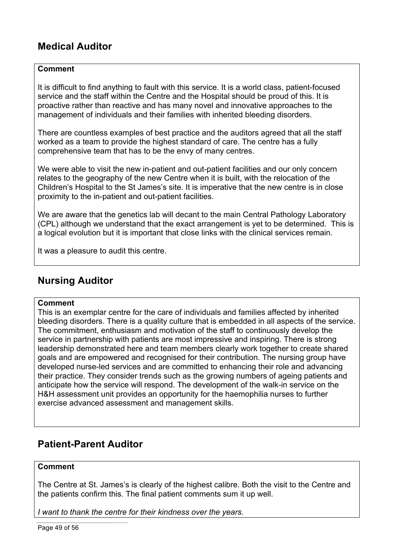# **Medical Auditor**

### **Comment**

It is difficult to find anything to fault with this service. It is a world class, patient-focused service and the staff within the Centre and the Hospital should be proud of this. It is proactive rather than reactive and has many novel and innovative approaches to the management of individuals and their families with inherited bleeding disorders.

There are countless examples of best practice and the auditors agreed that all the staff worked as a team to provide the highest standard of care. The centre has a fully comprehensive team that has to be the envy of many centres.

We were able to visit the new in-patient and out-patient facilities and our only concern relates to the geography of the new Centre when it is built, with the relocation of the Children's Hospital to the St James's site. It is imperative that the new centre is in close proximity to the in-patient and out-patient facilities.

We are aware that the genetics lab will decant to the main Central Pathology Laboratory (CPL) although we understand that the exact arrangement is yet to be determined. This is a logical evolution but it is important that close links with the clinical services remain.

It was a pleasure to audit this centre.

# **Nursing Auditor**

#### **Comment**

This is an exemplar centre for the care of individuals and families affected by inherited bleeding disorders. There is a quality culture that is embedded in all aspects of the service. The commitment, enthusiasm and motivation of the staff to continuously develop the service in partnership with patients are most impressive and inspiring. There is strong leadership demonstrated here and team members clearly work together to create shared goals and are empowered and recognised for their contribution. The nursing group have developed nurse-led services and are committed to enhancing their role and advancing their practice. They consider trends such as the growing numbers of ageing patients and anticipate how the service will respond. The development of the walk-in service on the H&H assessment unit provides an opportunity for the haemophilia nurses to further exercise advanced assessment and management skills.

# **Patient-Parent Auditor**

### **Comment**

The Centre at St. James's is clearly of the highest calibre. Both the visit to the Centre and the patients confirm this. The final patient comments sum it up well.

*I want to thank the centre for their kindness over the years.*